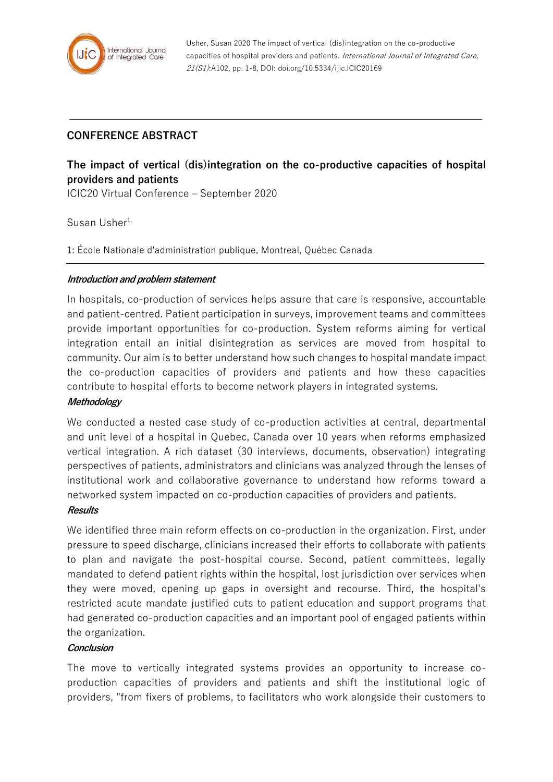

# **CONFERENCE ABSTRACT**

# **The impact of vertical (dis)integration on the co-productive capacities of hospital providers and patients**

ICIC20 Virtual Conference – September 2020

# Susan Usher<sup>1,</sup>

1: École Nationale d'administration publique, Montreal, Québec Canada

# **Introduction and problem statement**

In hospitals, co-production of services helps assure that care is responsive, accountable and patient-centred. Patient participation in surveys, improvement teams and committees provide important opportunities for co-production. System reforms aiming for vertical integration entail an initial disintegration as services are moved from hospital to community. Our aim is to better understand how such changes to hospital mandate impact the co-production capacities of providers and patients and how these capacities contribute to hospital efforts to become network players in integrated systems.

#### **Methodology**

We conducted a nested case study of co-production activities at central, departmental and unit level of a hospital in Quebec, Canada over 10 years when reforms emphasized vertical integration. A rich dataset (30 interviews, documents, observation) integrating perspectives of patients, administrators and clinicians was analyzed through the lenses of institutional work and collaborative governance to understand how reforms toward a networked system impacted on co-production capacities of providers and patients.

#### **Results**

We identified three main reform effects on co-production in the organization. First, under pressure to speed discharge, clinicians increased their efforts to collaborate with patients to plan and navigate the post-hospital course. Second, patient committees, legally mandated to defend patient rights within the hospital, lost jurisdiction over services when they were moved, opening up gaps in oversight and recourse. Third, the hospital's restricted acute mandate justified cuts to patient education and support programs that had generated co-production capacities and an important pool of engaged patients within the organization.

#### **Conclusion**

The move to vertically integrated systems provides an opportunity to increase coproduction capacities of providers and patients and shift the institutional logic of providers, "from fixers of problems, to facilitators who work alongside their customers to